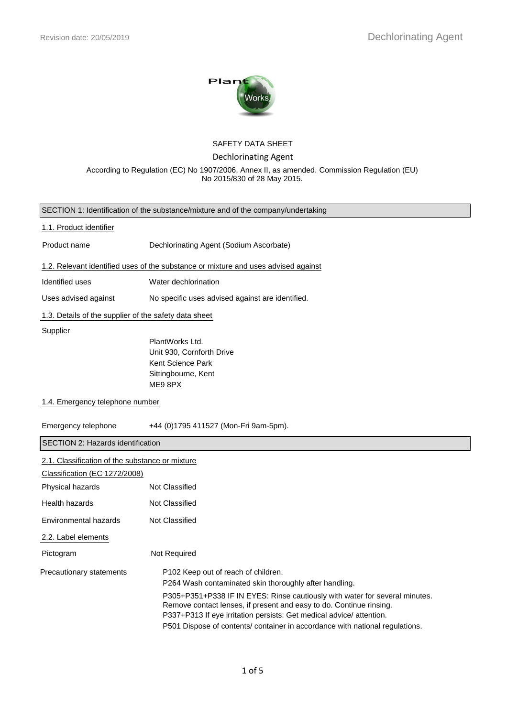

### SAFETY DATA SHEET

Dechlorinating Agent

According to Regulation (EC) No 1907/2006, Annex II, as amended. Commission Regulation (EU) No 2015/830 of 28 May 2015.

| SECTION 1: Identification of the substance/mixture and of the company/undertaking |                                                                                                                                                                                                                                                                                                                                                                                                             |  |  |  |
|-----------------------------------------------------------------------------------|-------------------------------------------------------------------------------------------------------------------------------------------------------------------------------------------------------------------------------------------------------------------------------------------------------------------------------------------------------------------------------------------------------------|--|--|--|
| 1.1. Product identifier                                                           |                                                                                                                                                                                                                                                                                                                                                                                                             |  |  |  |
| Product name<br>Dechlorinating Agent (Sodium Ascorbate)                           |                                                                                                                                                                                                                                                                                                                                                                                                             |  |  |  |
|                                                                                   | 1.2. Relevant identified uses of the substance or mixture and uses advised against                                                                                                                                                                                                                                                                                                                          |  |  |  |
| Identified uses                                                                   | Water dechlorination                                                                                                                                                                                                                                                                                                                                                                                        |  |  |  |
| Uses advised against                                                              | No specific uses advised against are identified.                                                                                                                                                                                                                                                                                                                                                            |  |  |  |
| 1.3. Details of the supplier of the safety data sheet                             |                                                                                                                                                                                                                                                                                                                                                                                                             |  |  |  |
| Supplier                                                                          | PlantWorks Ltd.<br>Unit 930, Cornforth Drive<br>Kent Science Park<br>Sittingbourne, Kent<br>ME9 8PX                                                                                                                                                                                                                                                                                                         |  |  |  |
| 1.4. Emergency telephone number                                                   |                                                                                                                                                                                                                                                                                                                                                                                                             |  |  |  |
| Emergency telephone<br>+44 (0)1795 411527 (Mon-Fri 9am-5pm).                      |                                                                                                                                                                                                                                                                                                                                                                                                             |  |  |  |
| <b>SECTION 2: Hazards identification</b>                                          |                                                                                                                                                                                                                                                                                                                                                                                                             |  |  |  |
| 2.1. Classification of the substance or mixture<br>Classification (EC 1272/2008)  |                                                                                                                                                                                                                                                                                                                                                                                                             |  |  |  |
| Physical hazards                                                                  | Not Classified                                                                                                                                                                                                                                                                                                                                                                                              |  |  |  |
| Health hazards                                                                    | Not Classified                                                                                                                                                                                                                                                                                                                                                                                              |  |  |  |
| Not Classified<br>Environmental hazards                                           |                                                                                                                                                                                                                                                                                                                                                                                                             |  |  |  |
| 2.2. Label elements                                                               |                                                                                                                                                                                                                                                                                                                                                                                                             |  |  |  |
| Pictogram                                                                         | Not Required                                                                                                                                                                                                                                                                                                                                                                                                |  |  |  |
| Precautionary statements                                                          | P102 Keep out of reach of children.<br>P264 Wash contaminated skin thoroughly after handling.<br>P305+P351+P338 IF IN EYES: Rinse cautiously with water for several minutes.<br>Remove contact lenses, if present and easy to do. Continue rinsing.<br>P337+P313 If eye irritation persists: Get medical advice/ attention.<br>P501 Dispose of contents/ container in accordance with national regulations. |  |  |  |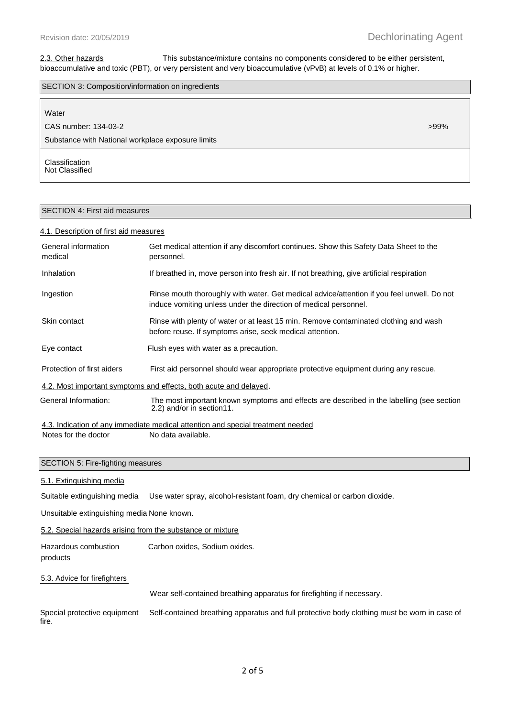### 2.3. Other hazards This substance/mixture contains no components considered to be either persistent, bioaccumulative and toxic (PBT), or very persistent and very bioaccumulative (vPvB) at levels of 0.1% or higher.

| SECTION 3: Composition/information on ingredients |         |  |
|---------------------------------------------------|---------|--|
|                                                   |         |  |
| Water                                             |         |  |
| CAS number: 134-03-2                              | $>99\%$ |  |
| Substance with National workplace exposure limits |         |  |
| Classification<br>Not Classified                  |         |  |

# SECTION 4: First aid measures

#### 4.1. Description of first aid measures

| General information<br>medical                                                                                                                 | Get medical attention if any discomfort continues. Show this Safety Data Sheet to the<br>personnel.                                                            |  |  |
|------------------------------------------------------------------------------------------------------------------------------------------------|----------------------------------------------------------------------------------------------------------------------------------------------------------------|--|--|
| Inhalation                                                                                                                                     | If breathed in, move person into fresh air. If not breathing, give artificial respiration                                                                      |  |  |
| Ingestion                                                                                                                                      | Rinse mouth thoroughly with water. Get medical advice/attention if you feel unwell. Do not<br>induce vomiting unless under the direction of medical personnel. |  |  |
| Skin contact                                                                                                                                   | Rinse with plenty of water or at least 15 min. Remove contaminated clothing and wash<br>before reuse. If symptoms arise, seek medical attention.               |  |  |
| Eye contact                                                                                                                                    | Flush eyes with water as a precaution.                                                                                                                         |  |  |
| Protection of first aiders                                                                                                                     | First aid personnel should wear appropriate protective equipment during any rescue.                                                                            |  |  |
|                                                                                                                                                | 4.2. Most important symptoms and effects, both acute and delayed.                                                                                              |  |  |
| General Information:<br>The most important known symptoms and effects are described in the labelling (see section<br>2.2) and/or in section11. |                                                                                                                                                                |  |  |
|                                                                                                                                                | 4.3. Indication of any immediate medical attention and special treatment needed                                                                                |  |  |
| No data available.<br>Notes for the doctor                                                                                                     |                                                                                                                                                                |  |  |
| SECTION 5: Fire-fighting measures                                                                                                              |                                                                                                                                                                |  |  |
| 5.1. Extinguishing media                                                                                                                       |                                                                                                                                                                |  |  |
| Use water spray, alcohol-resistant foam, dry chemical or carbon dioxide.<br>Suitable extinguishing media                                       |                                                                                                                                                                |  |  |
| Unsuitable extinguishing media None known.                                                                                                     |                                                                                                                                                                |  |  |
| 5.2. Special hazards arising from the substance or mixture                                                                                     |                                                                                                                                                                |  |  |
| Hazardous combustion<br>products                                                                                                               | Carbon oxides, Sodium oxides.                                                                                                                                  |  |  |
| 5.3. Advice for firefighters                                                                                                                   |                                                                                                                                                                |  |  |

Wear self-contained breathing apparatus for firefighting if necessary.

Special protective equipment Self-contained breathing apparatus and full protective body clothing must be worn in case of fire.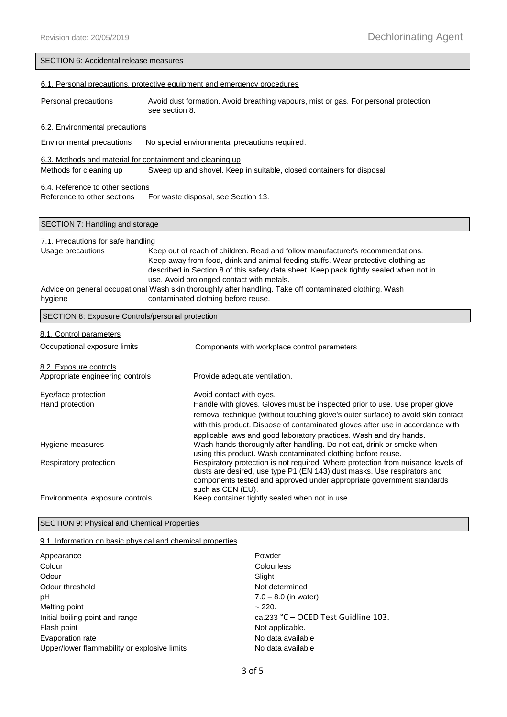|                                                                                                  | SECTION 6: Accidental release measures                                                                                                                                      |  |  |  |
|--------------------------------------------------------------------------------------------------|-----------------------------------------------------------------------------------------------------------------------------------------------------------------------------|--|--|--|
| 6.1. Personal precautions, protective equipment and emergency procedures                         |                                                                                                                                                                             |  |  |  |
|                                                                                                  |                                                                                                                                                                             |  |  |  |
| Personal precautions                                                                             | Avoid dust formation. Avoid breathing vapours, mist or gas. For personal protection<br>see section 8.                                                                       |  |  |  |
| 6.2. Environmental precautions                                                                   |                                                                                                                                                                             |  |  |  |
| Environmental precautions                                                                        | No special environmental precautions required.                                                                                                                              |  |  |  |
| 6.3. Methods and material for containment and cleaning up                                        |                                                                                                                                                                             |  |  |  |
| Methods for cleaning up<br>Sweep up and shovel. Keep in suitable, closed containers for disposal |                                                                                                                                                                             |  |  |  |
| 6.4. Reference to other sections                                                                 |                                                                                                                                                                             |  |  |  |
| Reference to other sections                                                                      | For waste disposal, see Section 13.                                                                                                                                         |  |  |  |
| SECTION 7: Handling and storage                                                                  |                                                                                                                                                                             |  |  |  |
|                                                                                                  |                                                                                                                                                                             |  |  |  |
| 7.1. Precautions for safe handling                                                               |                                                                                                                                                                             |  |  |  |
|                                                                                                  | Usage precautions<br>Keep out of reach of children. Read and follow manufacturer's recommendations.                                                                         |  |  |  |
|                                                                                                  | Keep away from food, drink and animal feeding stuffs. Wear protective clothing as<br>described in Section 8 of this safety data sheet. Keep pack tightly sealed when not in |  |  |  |
|                                                                                                  | use. Avoid prolonged contact with metals.                                                                                                                                   |  |  |  |
|                                                                                                  | Advice on general occupational Wash skin thoroughly after handling. Take off contaminated clothing. Wash                                                                    |  |  |  |
| hygiene                                                                                          | contaminated clothing before reuse.                                                                                                                                         |  |  |  |
| SECTION 8: Exposure Controls/personal protection                                                 |                                                                                                                                                                             |  |  |  |
|                                                                                                  |                                                                                                                                                                             |  |  |  |
| 8.1. Control parameters                                                                          |                                                                                                                                                                             |  |  |  |
|                                                                                                  |                                                                                                                                                                             |  |  |  |
| Occupational exposure limits                                                                     | Components with workplace control parameters                                                                                                                                |  |  |  |
| 8.2. Exposure controls                                                                           |                                                                                                                                                                             |  |  |  |
| Appropriate engineering controls                                                                 | Provide adequate ventilation.                                                                                                                                               |  |  |  |
|                                                                                                  |                                                                                                                                                                             |  |  |  |
| Eye/face protection<br>Hand protection                                                           | Avoid contact with eyes.<br>Handle with gloves. Gloves must be inspected prior to use. Use proper glove                                                                     |  |  |  |
|                                                                                                  | removal technique (without touching glove's outer surface) to avoid skin contact                                                                                            |  |  |  |
|                                                                                                  | with this product. Dispose of contaminated gloves after use in accordance with                                                                                              |  |  |  |
|                                                                                                  | applicable laws and good laboratory practices. Wash and dry hands.                                                                                                          |  |  |  |
| Hygiene measures                                                                                 | Wash hands thoroughly after handling. Do not eat, drink or smoke when                                                                                                       |  |  |  |
|                                                                                                  | using this product. Wash contaminated clothing before reuse.                                                                                                                |  |  |  |
| Respiratory protection                                                                           | Respiratory protection is not required. Where protection from nuisance levels of<br>dusts are desired, use type P1 (EN 143) dust masks. Use respirators and                 |  |  |  |
|                                                                                                  | components tested and approved under appropriate government standards                                                                                                       |  |  |  |
|                                                                                                  | such as CEN (EU).                                                                                                                                                           |  |  |  |
| Environmental exposure controls                                                                  | Keep container tightly sealed when not in use.                                                                                                                              |  |  |  |

# SECTION 9: Physical and Chemical Properties

## 9.1. Information on basic physical and chemical properties

| Appearance                                   | Powder                              |
|----------------------------------------------|-------------------------------------|
| Colour                                       | Colourless                          |
| Odour                                        | Slight                              |
| Odour threshold                              | Not determined                      |
| рH                                           | $7.0 - 8.0$ (in water)              |
| Melting point                                | ~220.                               |
| Initial boiling point and range              | ca.233 °C – OCED Test Guidline 103. |
| Flash point                                  | Not applicable.                     |
| Evaporation rate                             | No data available                   |
| Upper/lower flammability or explosive limits | No data available                   |
|                                              |                                     |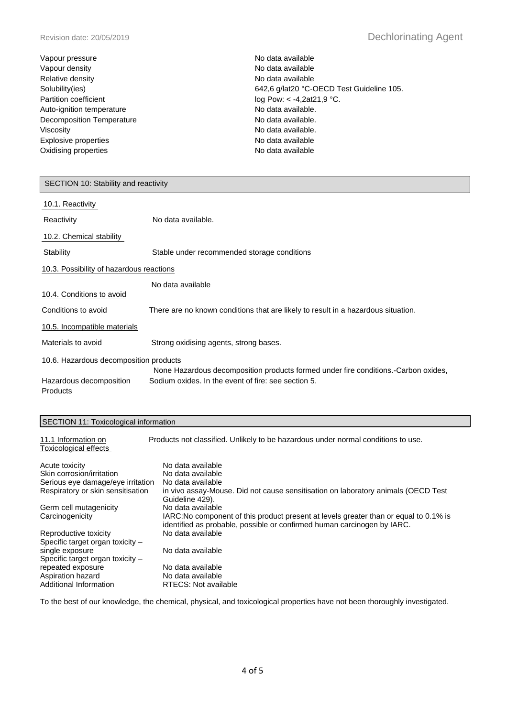| Vapour pressure           | No data available                         |
|---------------------------|-------------------------------------------|
| Vapour density            | No data available                         |
| Relative density          | No data available                         |
| Solubility(ies)           | 642,6 g/lat20 °C-OECD Test Guideline 105. |
| Partition coefficient     | log Pow: $< -4,2at21,9$ °C.               |
| Auto-ignition temperature | No data available.                        |
| Decomposition Temperature | No data available.                        |
| Viscosity                 | No data available.                        |
| Explosive properties      | No data available                         |
| Oxidising properties      | No data available                         |

| SECTION 10: Stability and reactivity                         |                                                                                                                                           |  |  |
|--------------------------------------------------------------|-------------------------------------------------------------------------------------------------------------------------------------------|--|--|
| 10.1. Reactivity                                             |                                                                                                                                           |  |  |
| Reactivity                                                   | No data available.                                                                                                                        |  |  |
| 10.2. Chemical stability                                     |                                                                                                                                           |  |  |
| Stability                                                    | Stable under recommended storage conditions                                                                                               |  |  |
| 10.3. Possibility of hazardous reactions                     |                                                                                                                                           |  |  |
| 10.4. Conditions to avoid                                    | No data available                                                                                                                         |  |  |
| Conditions to avoid                                          | There are no known conditions that are likely to result in a hazardous situation.                                                         |  |  |
| 10.5. Incompatible materials                                 |                                                                                                                                           |  |  |
| Materials to avoid<br>Strong oxidising agents, strong bases. |                                                                                                                                           |  |  |
| 10.6. Hazardous decomposition products                       |                                                                                                                                           |  |  |
| Hazardous decomposition<br><b>Products</b>                   | None Hazardous decomposition products formed under fire conditions. Carbon oxides,<br>Sodium oxides. In the event of fire: see section 5. |  |  |

## SECTION 11: Toxicological information

11.1 Information on Products not classified. Unlikely to be hazardous under normal conditions to use.

| Toxicological effects             |                                                                                                                                                                  |
|-----------------------------------|------------------------------------------------------------------------------------------------------------------------------------------------------------------|
| Acute toxicity                    | No data available                                                                                                                                                |
| Skin corrosion/irritation         | No data available                                                                                                                                                |
| Serious eye damage/eye irritation | No data available                                                                                                                                                |
| Respiratory or skin sensitisation | in vivo assay-Mouse. Did not cause sensitisation on laboratory animals (OECD Test<br>Guideline 429).                                                             |
| Germ cell mutagenicity            | No data available                                                                                                                                                |
| Carcinogenicity                   | IARC: No component of this product present at levels greater than or equal to 0.1% is<br>identified as probable, possible or confirmed human carcinogen by IARC. |
| Reproductive toxicity             | No data available                                                                                                                                                |
| Specific target organ toxicity -  |                                                                                                                                                                  |
| single exposure                   | No data available                                                                                                                                                |
| Specific target organ toxicity -  |                                                                                                                                                                  |
| repeated exposure                 | No data available                                                                                                                                                |
| Aspiration hazard                 | No data available                                                                                                                                                |
| Additional Information            | RTECS: Not available                                                                                                                                             |

To the best of our knowledge, the chemical, physical, and toxicological properties have not been thoroughly investigated.